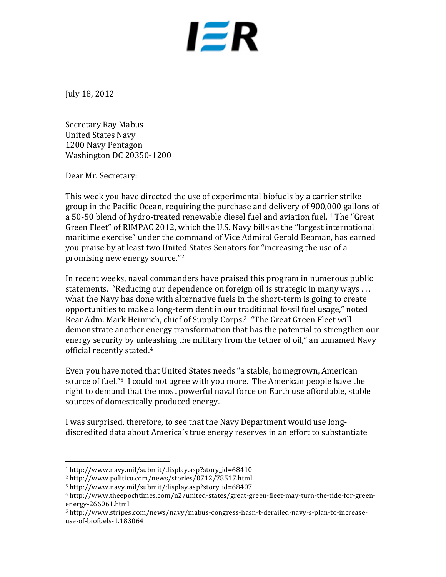

July 18, 2012

Secretary Ray Mabus United States Navy 1200 Navy Pentagon Washington DC 20350-1200

Dear Mr. Secretary:

This week you have directed the use of experimental biofuels by a carrier strike group in the Pacific Ocean, requiring the purchase and delivery of 900,000 gallons of a 50-50 blend of hydro-treated renewable diesel fuel and aviation fuel. <sup>1</sup> The "Great Green Fleet" of RIMPAC 2012, which the U.S. Navy bills as the "largest international maritime exercise" under the command of Vice Admiral Gerald Beaman, has earned you praise by at least two United States Senators for "increasing the use of a promising new energy source. $"^{2}$ 

In recent weeks, naval commanders have praised this program in numerous public statements. "Reducing our dependence on foreign oil is strategic in many ways ... what the Navy has done with alternative fuels in the short-term is going to create opportunities to make a long-term dent in our traditional fossil fuel usage," noted Rear Adm. Mark Heinrich, chief of Supply Corps.<sup>3</sup> "The Great Green Fleet will demonstrate another energy transformation that has the potential to strengthen our energy security by unleashing the military from the tether of oil," an unnamed Navy official recently stated.<sup>4</sup>

Even you have noted that United States needs "a stable, homegrown, American source of fuel."<sup>5</sup> I could not agree with you more. The American people have the right to demand that the most powerful naval force on Earth use affordable, stable sources of domestically produced energy.

I was surprised, therefore, to see that the Navy Department would use longdiscredited data about America's true energy reserves in an effort to substantiate

 

<sup>1</sup> http://www.navy.mil/submit/display.asp?story\_id=68410

<sup>2</sup> http://www.politico.com/news/stories/0712/78517.html

<sup>3</sup> http://www.navy.mil/submit/display.asp?story\_id=68407

<sup>4</sup> http://www.theepochtimes.com/n2/united-states/great-green-fleet-may-turn-the-tide-for-greenenergy-266061.html

<sup>5</sup> http://www.stripes.com/news/navy/mabus-congress-hasn-t-derailed-navy-s-plan-to-increaseuse-of-biofuels-1.183064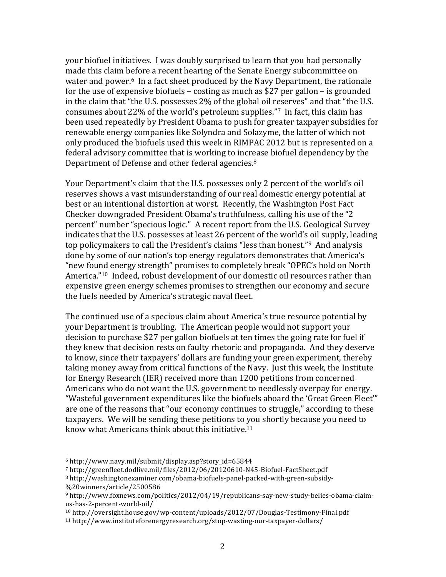your biofuel initiatives. I was doubly surprised to learn that you had personally made this claim before a recent hearing of the Senate Energy subcommittee on water and power.<sup>6</sup> In a fact sheet produced by the Navy Department, the rationale for the use of expensive biofuels – costing as much as \$27 per gallon – is grounded in the claim that "the U.S. possesses 2% of the global oil reserves" and that "the U.S. consumes about 22% of the world's petroleum supplies."<sup>7</sup> In fact, this claim has been used repeatedly by President Obama to push for greater taxpayer subsidies for renewable energy companies like Solyndra and Solazyme, the latter of which not only produced the biofuels used this week in RIMPAC 2012 but is represented on a federal advisory committee that is working to increase biofuel dependency by the Department of Defense and other federal agencies.<sup>8</sup>

Your Department's claim that the U.S. possesses only 2 percent of the world's oil reserves shows a vast misunderstanding of our real domestic energy potential at best or an intentional distortion at worst. Recently, the Washington Post Fact Checker downgraded President Obama's truthfulness, calling his use of the "2 percent" number "specious logic." A recent report from the U.S. Geological Survey indicates that the U.S. possesses at least 26 percent of the world's oil supply, leading top policymakers to call the President's claims "less than honest."<sup>9</sup> And analysis done by some of our nation's top energy regulators demonstrates that America's "new found energy strength" promises to completely break "OPEC's hold on North America."<sup>10</sup> Indeed, robust development of our domestic oil resources rather than expensive green energy schemes promises to strengthen our economy and secure the fuels needed by America's strategic naval fleet.

The continued use of a specious claim about America's true resource potential by your Department is troubling. The American people would not support your decision to purchase \$27 per gallon biofuels at ten times the going rate for fuel if they knew that decision rests on faulty rhetoric and propaganda. And they deserve to know, since their taxpayers' dollars are funding your green experiment, thereby taking money away from critical functions of the Navy. Just this week, the Institute for Energy Research (IER) received more than 1200 petitions from concerned Americans who do not want the U.S. government to needlessly overpay for energy. "Wasteful government expenditures like the biofuels aboard the 'Great Green Fleet'" are one of the reasons that "our economy continues to struggle," according to these taxpayers. We will be sending these petitions to you shortly because you need to know what Americans think about this initiative.<sup>11</sup>

 

<sup>6</sup> http://www.navy.mil/submit/display.asp?story\_id=65844

<sup>7</sup> http://greenfleet.dodlive.mil/files/2012/06/20120610-N45-Biofuel-FactSheet.pdf

<sup>8</sup> http://washingtonexaminer.com/obama-biofuels-panel-packed-with-green-subsidy- %20winners/article/2500586

<sup>9</sup> http://www.foxnews.com/politics/2012/04/19/republicans-say-new-study-belies-obama-claimus-has-2-percent-world-oil/

<sup>10</sup> http://oversight.house.gov/wp-content/uploads/2012/07/Douglas-Testimony-Final.pdf

<sup>11</sup> http://www.instituteforenergyresearch.org/stop-wasting-our-taxpayer-dollars/